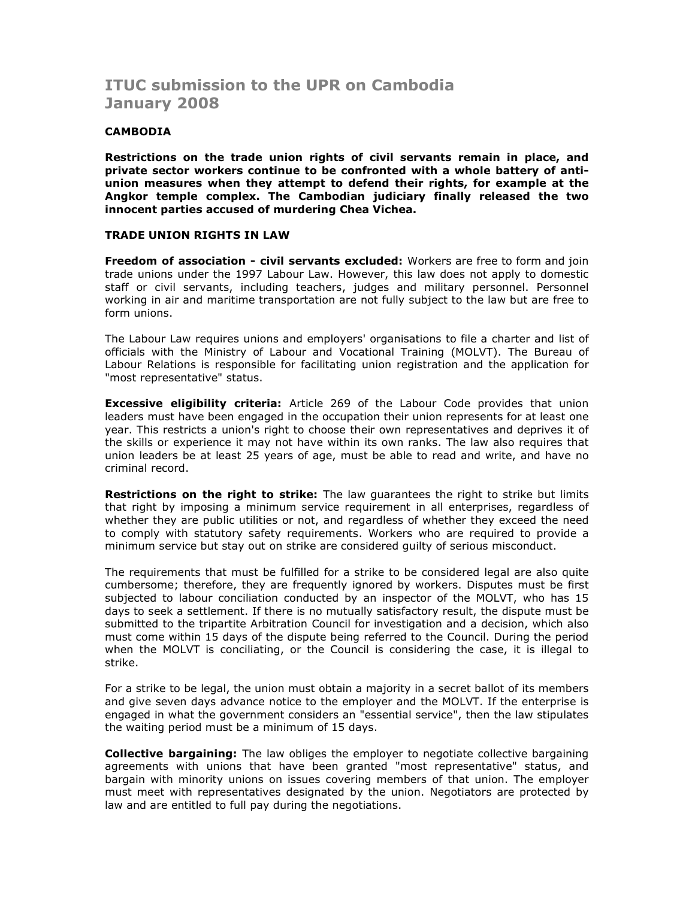## ITUC submission to the UPR on Cambodia January 2008

## **CAMBODIA**

Restrictions on the trade union rights of civil servants remain in place, and private sector workers continue to be confronted with a whole battery of antiunion measures when they attempt to defend their rights, for example at the Angkor temple complex. The Cambodian judiciary finally released the two innocent parties accused of murdering Chea Vichea.

## TRADE UNION RIGHTS IN LAW

Freedom of association - civil servants excluded: Workers are free to form and join trade unions under the 1997 Labour Law. However, this law does not apply to domestic staff or civil servants, including teachers, judges and military personnel. Personnel working in air and maritime transportation are not fully subject to the law but are free to form unions.

The Labour Law requires unions and employers' organisations to file a charter and list of officials with the Ministry of Labour and Vocational Training (MOLVT). The Bureau of Labour Relations is responsible for facilitating union registration and the application for "most representative" status.

**Excessive eligibility criteria:** Article 269 of the Labour Code provides that union leaders must have been engaged in the occupation their union represents for at least one year. This restricts a union's right to choose their own representatives and deprives it of the skills or experience it may not have within its own ranks. The law also requires that union leaders be at least 25 years of age, must be able to read and write, and have no criminal record.

**Restrictions on the right to strike:** The law quarantees the right to strike but limits that right by imposing a minimum service requirement in all enterprises, regardless of whether they are public utilities or not, and regardless of whether they exceed the need to comply with statutory safety requirements. Workers who are required to provide a minimum service but stay out on strike are considered guilty of serious misconduct.

The requirements that must be fulfilled for a strike to be considered legal are also quite cumbersome; therefore, they are frequently ignored by workers. Disputes must be first subjected to labour conciliation conducted by an inspector of the MOLVT, who has 15 days to seek a settlement. If there is no mutually satisfactory result, the dispute must be submitted to the tripartite Arbitration Council for investigation and a decision, which also must come within 15 days of the dispute being referred to the Council. During the period when the MOLVT is conciliating, or the Council is considering the case, it is illegal to strike.

For a strike to be legal, the union must obtain a majority in a secret ballot of its members and give seven days advance notice to the employer and the MOLVT. If the enterprise is engaged in what the government considers an "essential service", then the law stipulates the waiting period must be a minimum of 15 days.

**Collective bargaining:** The law obliges the employer to negotiate collective bargaining agreements with unions that have been granted "most representative" status, and bargain with minority unions on issues covering members of that union. The employer must meet with representatives designated by the union. Negotiators are protected by law and are entitled to full pay during the negotiations.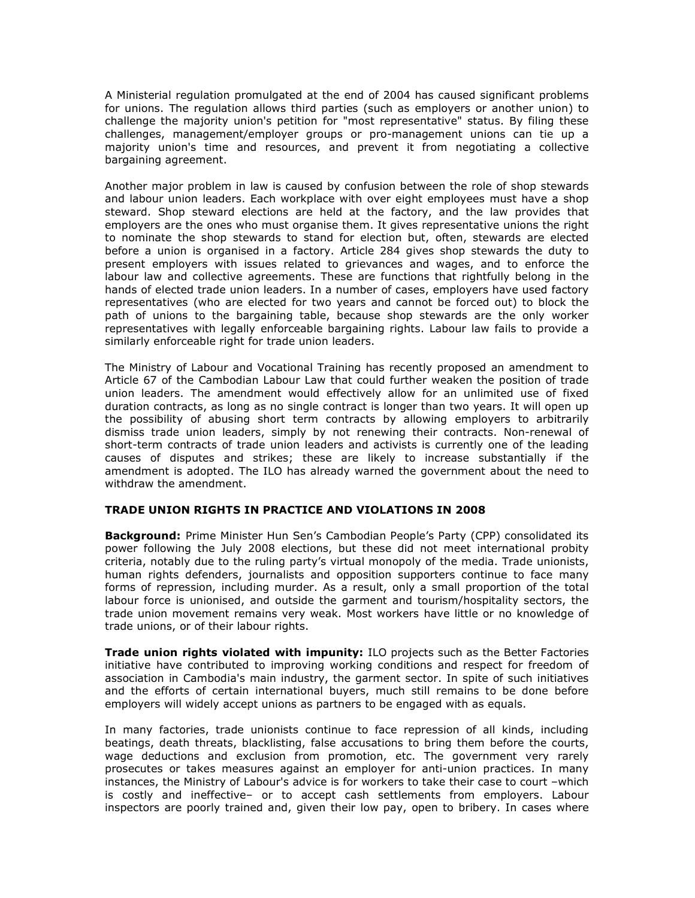A Ministerial regulation promulgated at the end of 2004 has caused significant problems for unions. The regulation allows third parties (such as employers or another union) to challenge the majority union's petition for "most representative" status. By filing these challenges, management/employer groups or pro-management unions can tie up a majority union's time and resources, and prevent it from negotiating a collective bargaining agreement.

Another major problem in law is caused by confusion between the role of shop stewards and labour union leaders. Each workplace with over eight employees must have a shop steward. Shop steward elections are held at the factory, and the law provides that employers are the ones who must organise them. It gives representative unions the right to nominate the shop stewards to stand for election but, often, stewards are elected before a union is organised in a factory. Article 284 gives shop stewards the duty to present employers with issues related to grievances and wages, and to enforce the labour law and collective agreements. These are functions that rightfully belong in the hands of elected trade union leaders. In a number of cases, employers have used factory representatives (who are elected for two years and cannot be forced out) to block the path of unions to the bargaining table, because shop stewards are the only worker representatives with legally enforceable bargaining rights. Labour law fails to provide a similarly enforceable right for trade union leaders.

The Ministry of Labour and Vocational Training has recently proposed an amendment to Article 67 of the Cambodian Labour Law that could further weaken the position of trade union leaders. The amendment would effectively allow for an unlimited use of fixed duration contracts, as long as no single contract is longer than two years. It will open up the possibility of abusing short term contracts by allowing employers to arbitrarily dismiss trade union leaders, simply by not renewing their contracts. Non-renewal of short-term contracts of trade union leaders and activists is currently one of the leading causes of disputes and strikes; these are likely to increase substantially if the amendment is adopted. The ILO has already warned the government about the need to withdraw the amendment.

## TRADE UNION RIGHTS IN PRACTICE AND VIOLATIONS IN 2008

Background: Prime Minister Hun Sen's Cambodian People's Party (CPP) consolidated its power following the July 2008 elections, but these did not meet international probity criteria, notably due to the ruling party's virtual monopoly of the media. Trade unionists, human rights defenders, journalists and opposition supporters continue to face many forms of repression, including murder. As a result, only a small proportion of the total labour force is unionised, and outside the garment and tourism/hospitality sectors, the trade union movement remains very weak. Most workers have little or no knowledge of trade unions, or of their labour rights.

**Trade union rights violated with impunity:** ILO projects such as the Better Factories initiative have contributed to improving working conditions and respect for freedom of association in Cambodia's main industry, the garment sector. In spite of such initiatives and the efforts of certain international buyers, much still remains to be done before employers will widely accept unions as partners to be engaged with as equals.

In many factories, trade unionists continue to face repression of all kinds, including beatings, death threats, blacklisting, false accusations to bring them before the courts, wage deductions and exclusion from promotion, etc. The government very rarely prosecutes or takes measures against an employer for anti-union practices. In many instances, the Ministry of Labour's advice is for workers to take their case to court –which is costly and ineffective– or to accept cash settlements from employers. Labour inspectors are poorly trained and, given their low pay, open to bribery. In cases where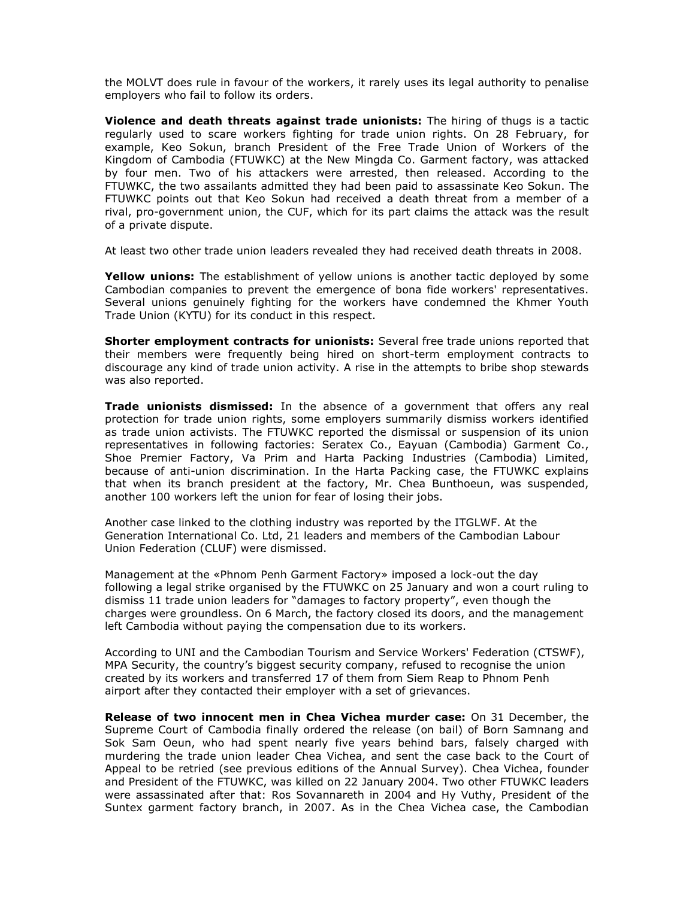the MOLVT does rule in favour of the workers, it rarely uses its legal authority to penalise employers who fail to follow its orders.

Violence and death threats against trade unionists: The hiring of thugs is a tactic regularly used to scare workers fighting for trade union rights. On 28 February, for example, Keo Sokun, branch President of the Free Trade Union of Workers of the Kingdom of Cambodia (FTUWKC) at the New Mingda Co. Garment factory, was attacked by four men. Two of his attackers were arrested, then released. According to the FTUWKC, the two assailants admitted they had been paid to assassinate Keo Sokun. The FTUWKC points out that Keo Sokun had received a death threat from a member of a rival, pro-government union, the CUF, which for its part claims the attack was the result of a private dispute.

At least two other trade union leaders revealed they had received death threats in 2008.

Yellow unions: The establishment of yellow unions is another tactic deployed by some Cambodian companies to prevent the emergence of bona fide workers' representatives. Several unions genuinely fighting for the workers have condemned the Khmer Youth Trade Union (KYTU) for its conduct in this respect.

Shorter employment contracts for unionists: Several free trade unions reported that their members were frequently being hired on short-term employment contracts to discourage any kind of trade union activity. A rise in the attempts to bribe shop stewards was also reported.

Trade unionists dismissed: In the absence of a government that offers any real protection for trade union rights, some employers summarily dismiss workers identified as trade union activists. The FTUWKC reported the dismissal or suspension of its union representatives in following factories: Seratex Co., Eayuan (Cambodia) Garment Co., Shoe Premier Factory, Va Prim and Harta Packing Industries (Cambodia) Limited, because of anti-union discrimination. In the Harta Packing case, the FTUWKC explains that when its branch president at the factory, Mr. Chea Bunthoeun, was suspended, another 100 workers left the union for fear of losing their jobs.

Another case linked to the clothing industry was reported by the ITGLWF. At the Generation International Co. Ltd, 21 leaders and members of the Cambodian Labour Union Federation (CLUF) were dismissed.

Management at the «Phnom Penh Garment Factory» imposed a lock-out the day following a legal strike organised by the FTUWKC on 25 January and won a court ruling to dismiss 11 trade union leaders for "damages to factory property", even though the charges were groundless. On 6 March, the factory closed its doors, and the management left Cambodia without paying the compensation due to its workers.

According to UNI and the Cambodian Tourism and Service Workers' Federation (CTSWF), MPA Security, the country's biggest security company, refused to recognise the union created by its workers and transferred 17 of them from Siem Reap to Phnom Penh airport after they contacted their employer with a set of grievances.

Release of two innocent men in Chea Vichea murder case: On 31 December, the Supreme Court of Cambodia finally ordered the release (on bail) of Born Samnang and Sok Sam Oeun, who had spent nearly five years behind bars, falsely charged with murdering the trade union leader Chea Vichea, and sent the case back to the Court of Appeal to be retried (see previous editions of the Annual Survey). Chea Vichea, founder and President of the FTUWKC, was killed on 22 January 2004. Two other FTUWKC leaders were assassinated after that: Ros Sovannareth in 2004 and Hy Vuthy, President of the Suntex garment factory branch, in 2007. As in the Chea Vichea case, the Cambodian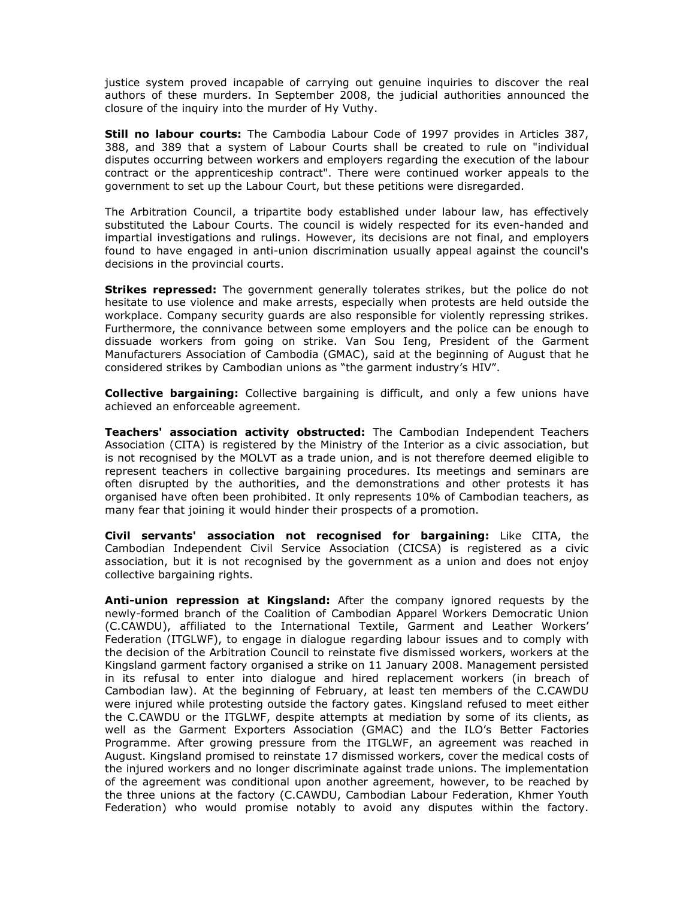justice system proved incapable of carrying out genuine inquiries to discover the real authors of these murders. In September 2008, the judicial authorities announced the closure of the inquiry into the murder of Hy Vuthy.

Still no labour courts: The Cambodia Labour Code of 1997 provides in Articles 387, 388, and 389 that a system of Labour Courts shall be created to rule on "individual disputes occurring between workers and employers regarding the execution of the labour contract or the apprenticeship contract". There were continued worker appeals to the government to set up the Labour Court, but these petitions were disregarded.

The Arbitration Council, a tripartite body established under labour law, has effectively substituted the Labour Courts. The council is widely respected for its even-handed and impartial investigations and rulings. However, its decisions are not final, and employers found to have engaged in anti-union discrimination usually appeal against the council's decisions in the provincial courts.

**Strikes repressed:** The government generally tolerates strikes, but the police do not hesitate to use violence and make arrests, especially when protests are held outside the workplace. Company security guards are also responsible for violently repressing strikes. Furthermore, the connivance between some employers and the police can be enough to dissuade workers from going on strike. Van Sou Ieng, President of the Garment Manufacturers Association of Cambodia (GMAC), said at the beginning of August that he considered strikes by Cambodian unions as "the garment industry's HIV".

Collective bargaining: Collective bargaining is difficult, and only a few unions have achieved an enforceable agreement.

Teachers' association activity obstructed: The Cambodian Independent Teachers Association (CITA) is registered by the Ministry of the Interior as a civic association, but is not recognised by the MOLVT as a trade union, and is not therefore deemed eligible to represent teachers in collective bargaining procedures. Its meetings and seminars are often disrupted by the authorities, and the demonstrations and other protests it has organised have often been prohibited. It only represents 10% of Cambodian teachers, as many fear that joining it would hinder their prospects of a promotion.

Civil servants' association not recognised for bargaining: Like CITA, the Cambodian Independent Civil Service Association (CICSA) is registered as a civic association, but it is not recognised by the government as a union and does not enjoy collective bargaining rights.

Anti-union repression at Kingsland: After the company ignored requests by the newly-formed branch of the Coalition of Cambodian Apparel Workers Democratic Union (C.CAWDU), affiliated to the International Textile, Garment and Leather Workers' Federation (ITGLWF), to engage in dialogue regarding labour issues and to comply with the decision of the Arbitration Council to reinstate five dismissed workers, workers at the Kingsland garment factory organised a strike on 11 January 2008. Management persisted in its refusal to enter into dialogue and hired replacement workers (in breach of Cambodian law). At the beginning of February, at least ten members of the C.CAWDU were injured while protesting outside the factory gates. Kingsland refused to meet either the C.CAWDU or the ITGLWF, despite attempts at mediation by some of its clients, as well as the Garment Exporters Association (GMAC) and the ILO's Better Factories Programme. After growing pressure from the ITGLWF, an agreement was reached in August. Kingsland promised to reinstate 17 dismissed workers, cover the medical costs of the injured workers and no longer discriminate against trade unions. The implementation of the agreement was conditional upon another agreement, however, to be reached by the three unions at the factory (C.CAWDU, Cambodian Labour Federation, Khmer Youth Federation) who would promise notably to avoid any disputes within the factory.